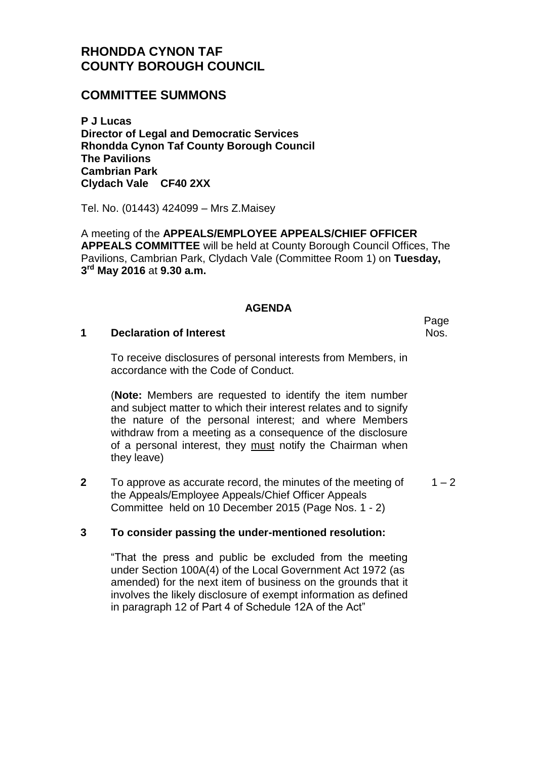# **RHONDDA CYNON TAF COUNTY BOROUGH COUNCIL**

## **COMMITTEE SUMMONS**

**P J Lucas Director of Legal and Democratic Services Rhondda Cynon Taf County Borough Council The Pavilions Cambrian Park Clydach Vale CF40 2XX**

Tel. No. (01443) 424099 – Mrs Z.Maisey

A meeting of the **APPEALS/EMPLOYEE APPEALS/CHIEF OFFICER APPEALS COMMITTEE** will be held at County Borough Council Offices, The Pavilions, Cambrian Park, Clydach Vale (Committee Room 1) on **Tuesday, 3 rd May 2016** at **9.30 a.m.**

### **AGENDA**

#### **1 Declaration of Interest**

To receive disclosures of personal interests from Members, in accordance with the Code of Conduct.

(**Note:** Members are requested to identify the item number and subject matter to which their interest relates and to signify the nature of the personal interest; and where Members withdraw from a meeting as a consequence of the disclosure of a personal interest, they must notify the Chairman when they leave)

**2** To approve as accurate record, the minutes of the meeting of the Appeals/Employee Appeals/Chief Officer Appeals Committee held on 10 December 2015 (Page Nos. 1 - 2)  $1 - 2$ 

### **3 To consider passing the under-mentioned resolution:**

"That the press and public be excluded from the meeting under Section 100A(4) of the Local Government Act 1972 (as amended) for the next item of business on the grounds that it involves the likely disclosure of exempt information as defined in paragraph 12 of Part 4 of Schedule 12A of the Act"

Nos.

Page